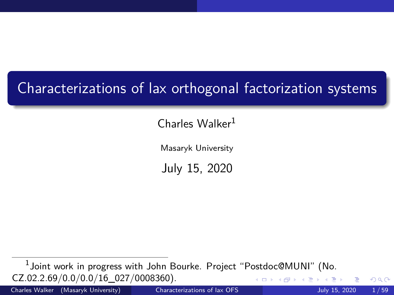# <span id="page-0-0"></span>Characterizations of lax orthogonal factorization systems

Charles Walker<sup>1</sup>

Masaryk University

July 15, 2020

 $^1$ Joint work in progress with John Bourke. Project "Postdoc@MUNI" (No. CZ.02.2.69/0.0/0.0/16\_027/0008360). 4 **D F** 

Charles Walker (Masaryk University) [Characterizations of lax OFS](#page-58-0) July 15, 2020 1 / 59

 $QQ$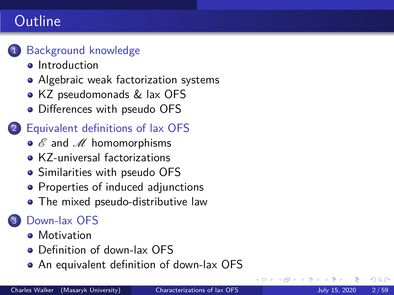# Outline



#### [Background knowledge](#page-2-0)

- **o** [Introduction](#page-2-0)
- [Algebraic weak factorization systems](#page-6-0)
- [KZ pseudomonads & lax OFS](#page-10-0)
- [Differences with pseudo OFS](#page-17-0)

#### 2 [Equivalent definitions of lax OFS](#page-19-0)

- $\bullet$   $\mathscr E$  and  $\mathscr M$  [homomorphisms](#page-20-0)
- [KZ-universal factorizations](#page-22-0)
- [Similarities with pseudo OFS](#page-30-0)
- [Properties of induced adjunctions](#page-33-0)
- [The mixed pseudo-distributive law](#page-41-0)

### [Down-lax OFS](#page-45-0)

- **•** [Motivation](#page-45-0)
- [Definition of down-lax OFS](#page-50-0)
- [An equivalent definition of down-lax OFS](#page-51-0)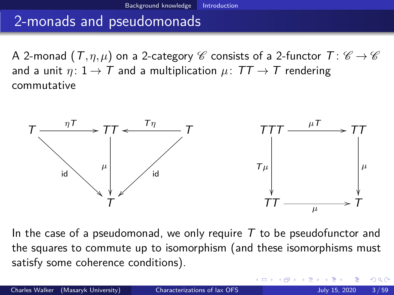### <span id="page-2-0"></span>2-monads and pseudomonads

A 2-monad  $(T, \eta, \mu)$  on a 2-category *C* consists of a 2-functor  $T: \mathscr{C} \to \mathscr{C}$ and a unit  $\eta: 1 \to T$  and a multiplication  $\mu: TT \to T$  rendering commutative



In the case of a pseudomonad, we only require  $T$  to be pseudofunctor and the squares to commute up to isomorphism (and these isomorphisms must satisfy some coherence conditions).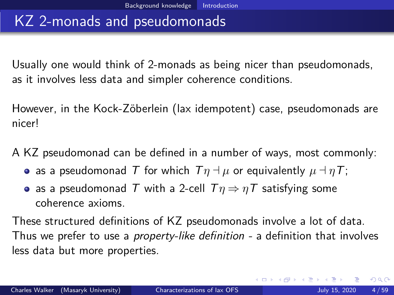#### KZ 2-monads and pseudomonads

Usually one would think of 2-monads as being nicer than pseudomonads, as it involves less data and simpler coherence conditions.

However, in the Kock-Zöberlein (lax idempotent) case, pseudomonads are nicer!

A KZ pseudomonad can be defined in a number of ways, most commonly:

- **a** as a pseudomonad T for which  $T\eta \rightarrow \mu$  or equivalently  $\mu \rightarrow \eta T$ ;
- **•** as a pseudomonad T with a 2-cell  $Tη ⇒ ηT$  satisfying some coherence axioms.

These structured definitions of KZ pseudomonads involve a lot of data. Thus we prefer to use a *property-like definition -* a definition that involves less data but more properties.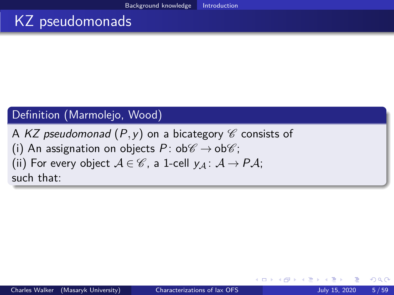# KZ pseudomonads

#### Definition (Marmolejo, Wood)

A KZ pseudomonad  $(P, y)$  on a bicategory  $\mathscr C$  consists of (i) An assignation on objects P:  $ob\mathscr{C} \rightarrow ob\mathscr{C}$ ; (ii) For every object  $A \in \mathscr{C}$ , a 1-cell  $y_A : A \rightarrow PA$ ; such that:

 $200$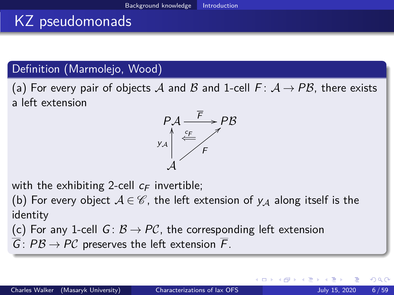# KZ pseudomonads

#### Definition (Marmolejo, Wood)

(a) For every pair of objects A and B and 1-cell  $F: A \rightarrow PB$ , there exists a left extension



with the exhibiting 2-cell  $c_F$  invertible;

(b) For every object  $A \in \mathscr{C}$ , the left extension of  $y_A$  along itself is the identity

(c) For any 1-cell  $G: \mathcal{B} \to \mathcal{PC}$ , the corresponding left extension

 $\overline{G}$ :  $PB \rightarrow PC$  preserves the left extension  $\overline{F}$ .

 $200$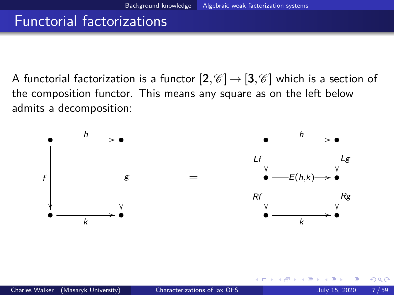### <span id="page-6-0"></span>Functorial factorizations

A functorial factorization is a functor  $[2, \mathscr{C}] \rightarrow [3, \mathscr{C}]$  which is a section of the composition functor. This means any square as on the left below admits a decomposition:

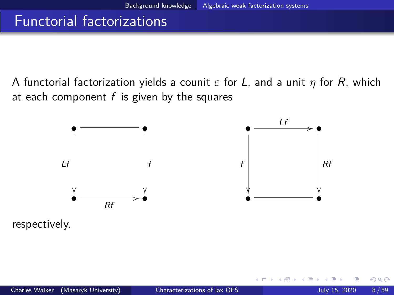### Functorial factorizations

A functorial factorization yields a counit *ε* for L, and a unit *η* for R, which at each component  $f$  is given by the squares



respectively.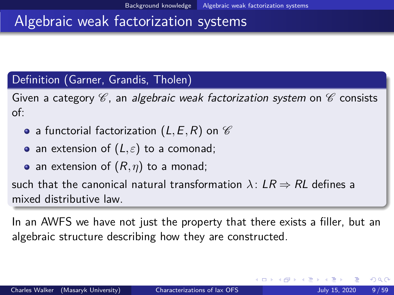### Algebraic weak factorization systems

#### Definition (Garner, Grandis, Tholen)

Given a category  $\mathscr C$ , an algebraic weak factorization system on  $\mathscr C$  consists of:

- a functorial factorization  $(L, E, R)$  on  $\mathscr C$
- an extension of  $(L, \varepsilon)$  to a comonad;
- an extension of  $(R, \eta)$  to a monad;

such that the canonical natural transformation  $\lambda: LR \Rightarrow RL$  defines a mixed distributive law.

In an AWFS we have not just the property that there exists a filler, but an algebraic structure describing how they are constructed.

つひい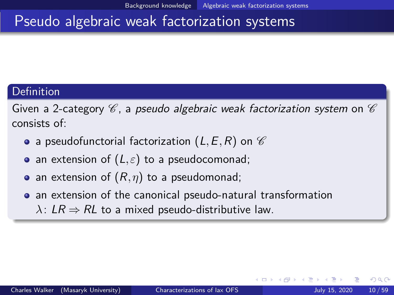### Pseudo algebraic weak factorization systems

#### Definition

Given a 2-category  $\mathscr C$ , a pseudo algebraic weak factorization system on  $\mathscr C$ consists of:

- a pseudofunctorial factorization  $(L, E, R)$  on  $\mathscr C$
- an extension of  $(L, \varepsilon)$  to a pseudocomonad;
- an extension of (R*,η*) to a pseudomonad;
- an extension of the canonical pseudo-natural transformation
	- $\lambda$ : LR  $\Rightarrow$  RL to a mixed pseudo-distributive law.

 $200$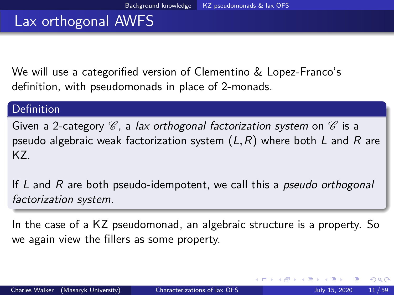### <span id="page-10-0"></span>Lax orthogonal AWFS

We will use a categorified version of Clementino & Lopez-Franco's definition, with pseudomonads in place of 2-monads.

#### Definition

Given a 2-category  $\mathscr C$ , a lax orthogonal factorization system on  $\mathscr C$  is a pseudo algebraic weak factorization system  $(L, R)$  where both L and R are KZ.

If  $L$  and  $R$  are both pseudo-idempotent, we call this a *pseudo orthogonal* factorization system.

In the case of a KZ pseudomonad, an algebraic structure is a property. So we again view the fillers as some property.

 $200$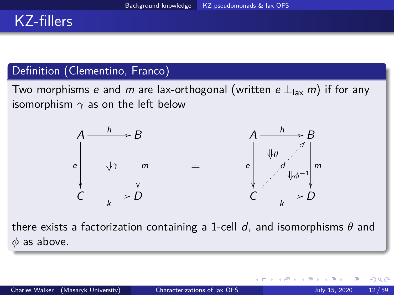# KZ-fillers

#### Definition (Clementino, Franco)

Two morphisms e and m are lax-orthogonal (written e  $\perp$ <sub>lax</sub> m) if for any isomorphism *γ* as on the left below



there exists a factorization containing a 1-cell d, and isomorphisms *θ* and *φ* as above.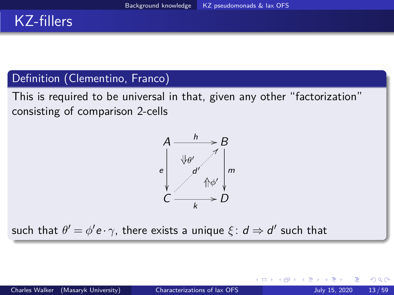## KZ-fillers

#### Definition (Clementino, Franco)

This is required to be universal in that, given any other "factorization" consisting of comparison 2-cells



such that  $\theta' = \phi' \boldsymbol{e} \cdot \boldsymbol{\gamma}$ , there exists a unique  $\xi \colon \boldsymbol{d} \Rightarrow \boldsymbol{d}'$  such that

 $200$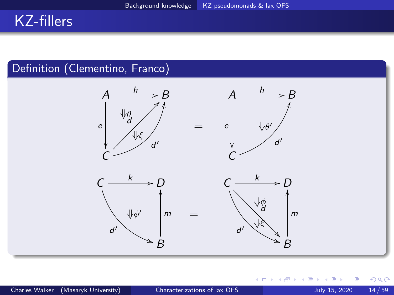# KZ-fillers

#### Definition (Clementino, Franco)



4 **D F** 

∍

 $299$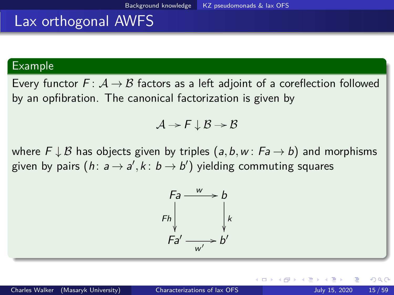#### Lax orthogonal AWFS

#### Example

Every functor  $F: A \rightarrow B$  factors as a left adjoint of a coreflection followed by an opfibration. The canonical factorization is given by

$$
\mathcal{A} \to \mathcal{F} \downarrow \mathcal{B} \to \mathcal{B}
$$

where  $F \downarrow B$  has objects given by triples  $(a, b, w : Fa \rightarrow b)$  and morphisms given by pairs  $(h\colon a\,{\to}\, a',k\colon b\,{\to}\, b')$  yielding commuting squares

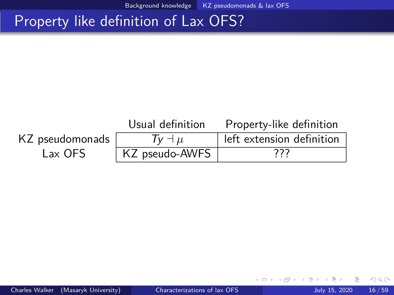### Property like definition of Lax OFS?

#### Usual definition Property-like definition KZ pseudomonads  $\overline{y}$   $\overline{y}$   $\overline{y}$  a  $\overline{y}$  left extension definition Lax OFS | KZ pseudo-AWFS | ???

4 0 8

 $QQ$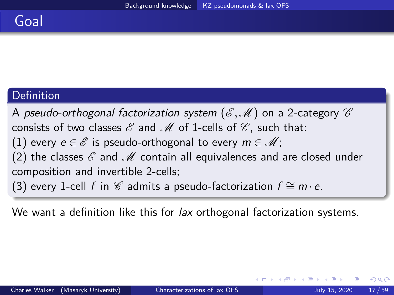### Goal

#### Definition

A pseudo-orthogonal factorization system  $(\mathscr{E},\mathscr{M})$  on a 2-category  $\mathscr{C}$ consists of two classes  $\mathscr E$  and  $\mathscr M$  of 1-cells of  $\mathscr C$ , such that: (1) every  $e \in \mathscr{E}$  is pseudo-orthogonal to every  $m \in \mathscr{M}$ ; (2) the classes  $\mathscr E$  and  $\mathscr M$  contain all equivalences and are closed under composition and invertible 2-cells; (3) every 1-cell f in  $\mathscr C$  admits a pseudo-factorization  $f \cong m \cdot e$ .

We want a definition like this for lax orthogonal factorization systems.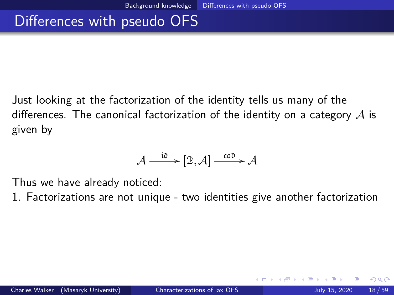### <span id="page-17-0"></span>Differences with pseudo OFS

Just looking at the factorization of the identity tells us many of the differences. The canonical factorization of the identity on a category  $\mathcal A$  is given by

$$
\mathcal{A} \xrightarrow{\text{i0}} [2, \mathcal{A}] \xrightarrow{\text{co0}} \mathcal{A}
$$

Thus we have already noticed:

1. Factorizations are not unique - two identities give another factorization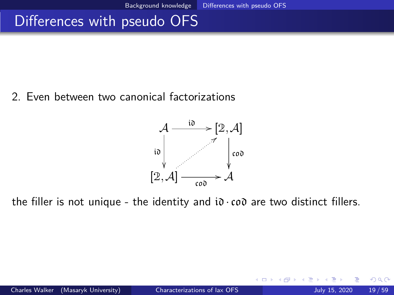### <span id="page-18-0"></span>Differences with pseudo OFS

#### 2. Even between two canonical factorizations



the filler is not unique - the identity and  $i\delta \cdot c \cdot \delta \delta$  are two distinct fillers.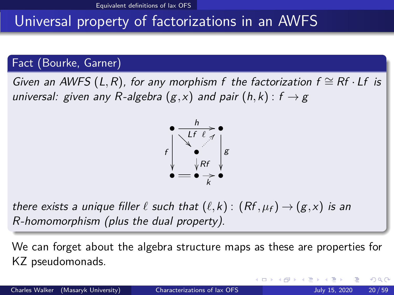# <span id="page-19-0"></span>Universal property of factorizations in an AWFS

#### Fact (Bourke, Garner)

Given an AWFS (L,R), for any morphism f the factorization  $f \cong Rf \cdot Lf$  is universal: given any R-algebra  $(g, x)$  and pair  $(h, k)$ :  $f \rightarrow g$ 



there exists a unique filler  $\ell$  such that  $(\ell, k)$  :  $(Rf, \mu_f) \rightarrow (g, x)$  is an R-homomorphism (plus the dual property).

We can forget about the algebra structure maps as these are properties for KZ pseudomonads.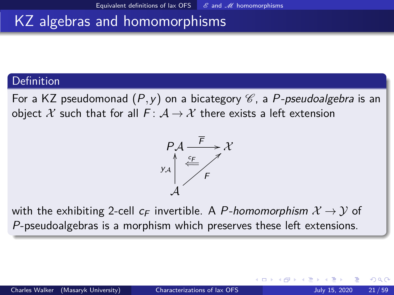### <span id="page-20-0"></span>KZ algebras and homomorphisms

#### Definition

For a KZ pseudomonad  $(P, y)$  on a bicategory  $\mathscr{C}$ , a P-pseudoalgebra is an object X such that for all  $F: A \rightarrow X$  there exists a left extension



with the exhibiting 2-cell  $c_F$  invertible. A P-homomorphism  $\mathcal{X} \rightarrow \mathcal{Y}$  of P-pseudoalgebras is a morphism which preserves these left extensions.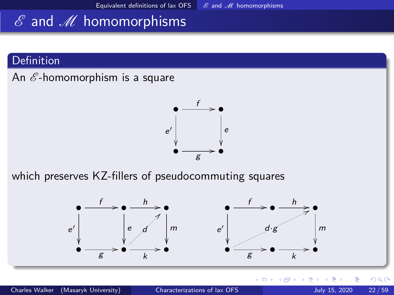# $\mathscr E$  and  $\mathscr M$  homomorphisms

#### Definition

An  $\mathscr E$ -homomorphism is a square



which preserves KZ-fillers of pseudocommuting squares



 $\leftarrow$   $\Box$ 

 $QQ$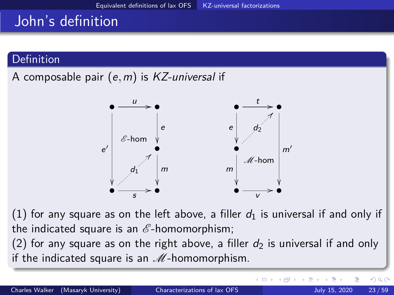# <span id="page-22-0"></span>John's definition

#### **Definition**

A composable pair (e*,*m) is KZ-universal if



(1) for any square as on the left above, a filler  $d_1$  is universal if and only if the indicated square is an  $\mathscr E$ -homomorphism;

(2) for any square as on the right above, a filler  $d_2$  is universal if and only if the indicated square is an  $M$ -homomorphism.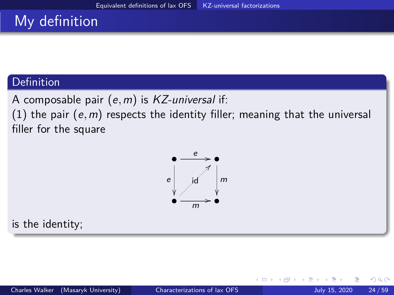# My definition

#### **Definition**

A composable pair (e*,*m) is KZ-universal if:

(1) the pair (e*,*m) respects the identity filler; meaning that the universal filler for the square



is the identity;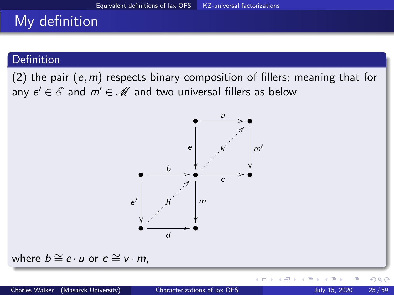# My definition

#### Definition

(2) the pair (e*,*m) respects binary composition of fillers; meaning that for any  $e' \in \mathscr{E}$  and  $m' \in \mathscr{M}$  and two universal fillers as below



where  $b \cong e \cdot u$  or  $c \cong v \cdot m$ ,

4 0 F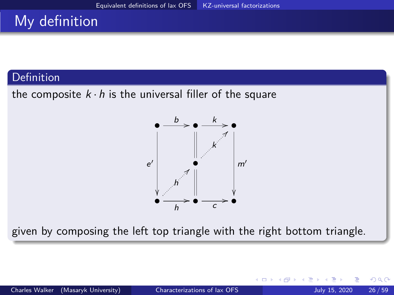# My definition

#### Definition

the composite  $k \cdot h$  is the universal filler of the square



given by composing the left top triangle with the right bottom triangle.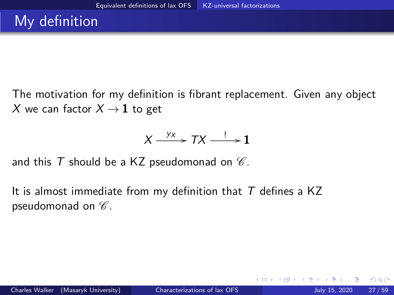The motivation for my definition is fibrant replacement. Given any object X we can factor  $X \rightarrow 1$  to get

$$
X \xrightarrow{y_X} TX \xrightarrow{!} \mathbf{1}
$$

and this T should be a KZ pseudomonad on  $\mathscr C$ .

It is almost immediate from my definition that  $T$  defines a KZ pseudomonad on  $\mathscr{C}.$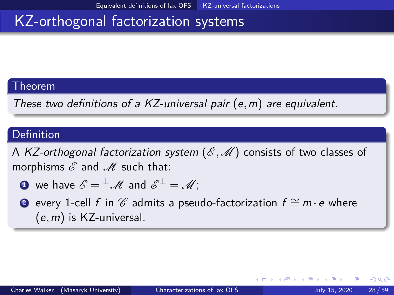#### Theorem

These two definitions of a KZ-universal pair (e*,*m) are equivalent.

#### Definition

A KZ-orthogonal factorization system ( $\mathscr{E}, \mathscr{M}$ ) consists of two classes of morphisms  $\mathscr E$  and  $\mathscr M$  such that:

• we have 
$$
\mathscr{E} = {}^{\perp} \mathscr{M}
$$
 and  $\mathscr{E}^{\perp} = \mathscr{M}$ ;

2 every 1-cell f in  $\mathscr C$  admits a pseudo-factorization  $f \cong m \cdot e$  where (e*,*m) is KZ-universal.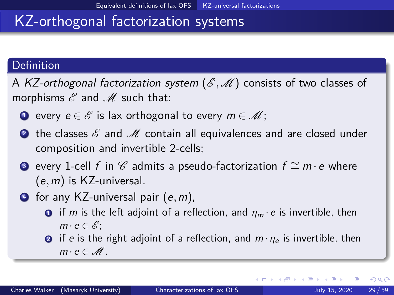#### Definition

A KZ-orthogonal factorization system  $(\mathscr{E},\mathscr{M})$  consists of two classes of morphisms  $\mathscr E$  and  $\mathscr M$  such that:

- **■** every  $e \in \mathscr{E}$  is lax orthogonal to every  $m \in \mathscr{M}$ ;
- **2** the classes  $\mathscr E$  and  $\mathscr M$  contain all equivalences and are closed under composition and invertible 2-cells;
- **3** every 1-cell f in  $\mathscr C$  admits a pseudo-factorization  $f \cong m \cdot e$  where (e*,*m) is KZ-universal.
- <sup>4</sup> for any KZ-universal pair (e*,*m),
	- **1** if m is the left adjoint of a reflection, and  $\eta_m \cdot e$  is invertible, then  $m \cdot e \in \mathscr{E}$ :
	- **2** if e is the right adjoint of a reflection, and  $m \cdot \eta_e$  is invertible, then  $m \cdot e \in \mathcal{M}$ .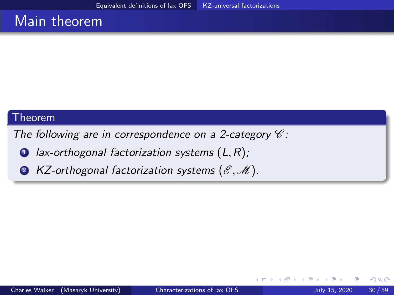#### Main theorem

#### Theorem

The following are in correspondence on a 2-category  $\mathscr C$ :

- <sup>1</sup> lax-orthogonal factorization systems (L*,*R);
- 2 KZ-orthogonal factorization systems ( $\mathscr{E}, \mathscr{M}$ ).

4 **D**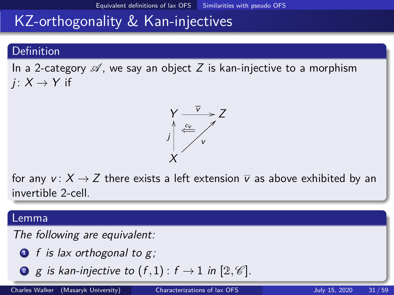# <span id="page-30-0"></span>KZ-orthogonality & Kan-injectives

#### **Definition**

In a 2-category  $\mathscr A$ , we say an object Z is kan-injective to a morphism  $i: X \rightarrow Y$  if



for any  $v: X \rightarrow Z$  there exists a left extension  $\overline{v}$  as above exhibited by an invertible 2-cell.

#### Lemma

The following are equivalent:

 $\bullet$  f is lax orthogonal to g;

**9** g is kan-injective to 
$$
(f,1)
$$
:  $f \rightarrow 1$  in  $[2, \mathcal{C}]$ .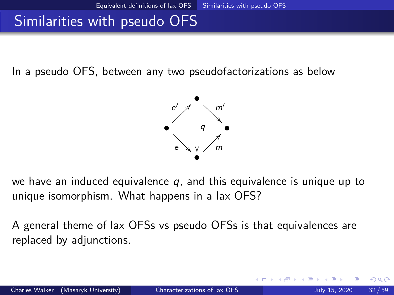### Similarities with pseudo OFS

In a pseudo OFS, between any two pseudofactorizations as below



we have an induced equivalence  $q$ , and this equivalence is unique up to unique isomorphism. What happens in a lax OFS?

A general theme of lax OFSs vs pseudo OFSs is that equivalences are replaced by adjunctions.

つひひ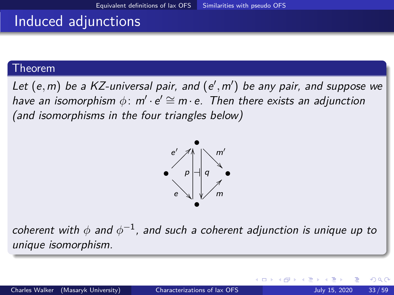### Induced adjunctions

#### Theorem

Let  $(e, m)$  be a KZ-universal pair, and  $(e', m')$  be any pair, and suppose we have an isomorphism  $\phi\colon m'\cdot e'\cong m\cdot e$ . Then there exists an adjunction (and isomorphisms in the four triangles below)



 $\epsilon$ oherent with  $\phi$  and  $\phi^{-1}$ , and such a coherent adjunction is unique up to unique isomorphism.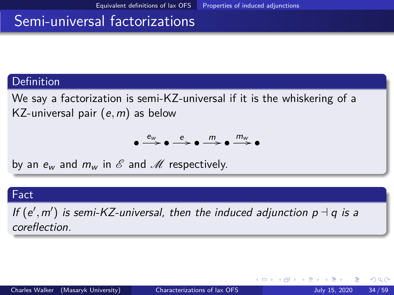### <span id="page-33-0"></span>Semi-universal factorizations

#### Definition

We say a factorization is semi-KZ-universal if it is the whiskering of a KZ-universal pair (e*,*m) as below

$$
\bullet \xrightarrow{e_{\text{w}}} \bullet \xrightarrow{e} \bullet \xrightarrow{m} \bullet \xrightarrow{m_{\text{w}}} \bullet
$$

by an  $e_w$  and  $m_w$  in  $\mathscr E$  and  $\mathscr M$  respectively.

#### Fact

If  $(e', m')$  is semi-KZ-universal, then the induced adjunction  $p \dashv q$  is a coreflection.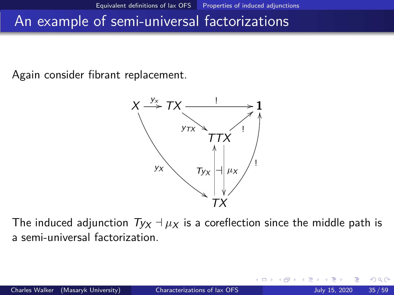### An example of semi-universal factorizations

Again consider fibrant replacement.



The induced adjunction  $Ty_X \dashv \mu_X$  is a coreflection since the middle path is a semi-universal factorization.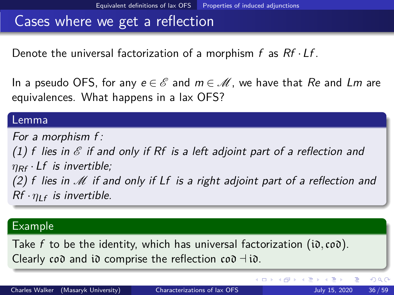### Cases where we get a reflection

Denote the universal factorization of a morphism  $f$  as  $Rf \cdot Lf$ .

In a pseudo OFS, for any  $e \in \mathscr{E}$  and  $m \in \mathscr{M}$ , we have that Re and Lm are equivalences. What happens in a lax OFS?

#### Lemma

For a morphism f : (1) f lies in  $\mathscr E$  if and only if Rf is a left adjoint part of a reflection and  $\eta_{\text{RF}}$  · Lf is invertible; (2) f lies in M if and only if Lf is a right adjoint part of a reflection and  $Rf \cdot \eta_{IF}$  is invertible.

#### Example

Take f to be the identity, which has universal factorization (id*,*cod). Clearly cod and id comprise the reflection cod  $\neg$  id.

イロト イ押ト イヨト イヨ

 $QQ$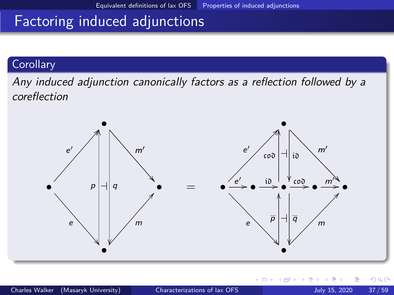# Factoring induced adjunctions

#### **Corollary**

Any induced adjunction canonically factors as a reflection followed by a coreflection

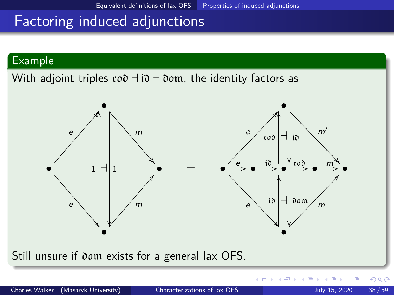# Factoring induced adjunctions

#### Example

With adjoint triples  $\cos \theta + i\theta + \cos \theta$ , the identity factors as



Still unsure if dom exists for a general lax OFS.

4 0 8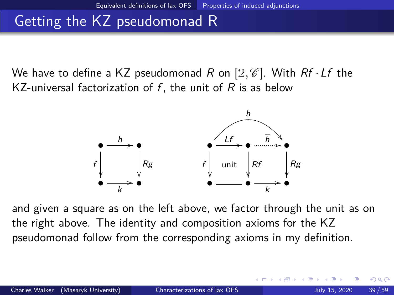# Getting the KZ pseudomonad R

We have to define a KZ pseudomonad R on  $[2,\mathscr{C}]$ . With Rf  $\cdot$  Lf the KZ-universal factorization of  $f$ , the unit of  $R$  is as below



and given a square as on the left above, we factor through the unit as on the right above. The identity and composition axioms for the KZ pseudomonad follow from the corresponding axioms in my definition.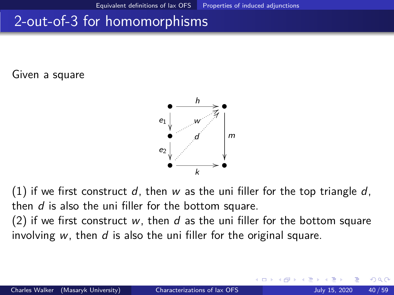### 2-out-of-3 for homomorphisms

Given a square



(1) if we first construct d, then w as the uni filler for the top triangle d, then d is also the uni filler for the bottom square.

(2) if we first construct w, then d as the uni filler for the bottom square involving  $w$ , then  $d$  is also the uni filler for the original square.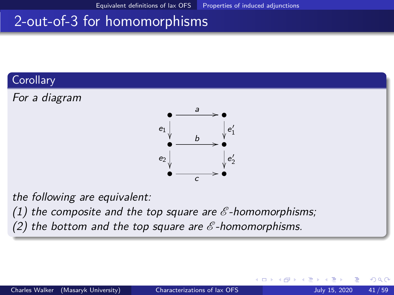# <span id="page-40-0"></span>2-out-of-3 for homomorphisms

#### **Corollary**





the following are equivalent:

(1) the composite and the top square are  $\mathscr E$ -homomorphisms;

(2) the bottom and the top square are  $\mathscr E$ -homomorphisms.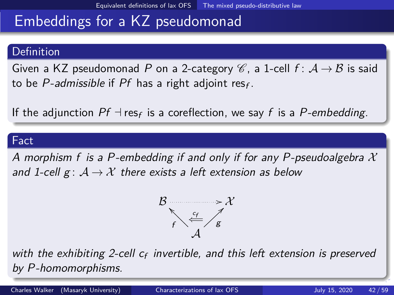# <span id="page-41-0"></span>Embeddings for a KZ pseudomonad

#### Definition

Given a KZ pseudomonad P on a 2-category  $\mathscr{C}$ , a 1-cell  $f: \mathcal{A} \rightarrow \mathcal{B}$  is said to be *P-admissible* if  $Pf$  has a right adjoint res<sub>f</sub>.

If the adjunction  $Pf \dashv \text{res}_f$  is a coreflection, we say  $f$  is a  $P\text{-}embedding$ .

#### Fact

A morphism f is a P-embedding if and only if for any P-pseudoalgebra  $\mathcal X$ and 1-cell  $g: A \rightarrow X$  there exists a left extension as below



with the exhibiting 2-cell  $c_f$  invertible, and this left extension is preserved by P-homomorphisms.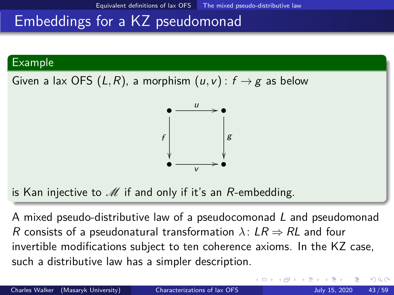### <span id="page-42-0"></span>Embeddings for a KZ pseudomonad

#### Example

Given a lax OFS  $(L, R)$ , a morphism  $(u, v)$  :  $f \rightarrow g$  as below



is Kan injective to  $\mathcal M$  if and only if it's an R-embedding.

A mixed pseudo-distributive law of a pseudocomonad L and pseudomonad R consists of a pseudonatural transformation  $\lambda: LR \Rightarrow RL$  and four invertible modifications subject to ten coherence axioms. In the KZ case, such a distributive law has a simpler description.

つへへ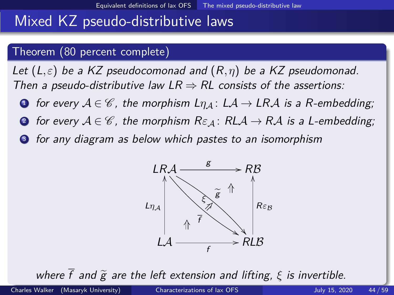### <span id="page-43-0"></span>Mixed KZ pseudo-distributive laws

#### Theorem (80 percent complete)

Let  $(L, \varepsilon)$  be a KZ pseudocomonad and  $(R, \eta)$  be a KZ pseudomonad. Then a pseudo-distributive law  $LR \Rightarrow RL$  consists of the assertions:

- **1** for every  $A \in \mathcal{C}$ , the morphism  $L_{\eta,A}: LA \to LRA$  is a R-embedding;
- **2** for every  $A \in \mathcal{C}$ , the morphism  $R\varepsilon_A$ :  $RLA \rightarrow RA$  is a L-embedding;
- **3** for any diagram as below which pastes to an isomorphism



where $\bar{f}$  $\bar{f}$  $\bar{f}$  and  $\tilde{g}$  $\tilde{g}$  $\tilde{g}$  are the left extension and lif[tin](#page-42-0)[g,](#page-44-0)  $\xi$  [is](#page-43-0) [in](#page-40-0)[v](#page-41-0)er[ti](#page-18-0)[b](#page-19-0)[l](#page-44-0)[e.](#page-45-0)<br>Walker (Masaryk University) Characterizations of lax OES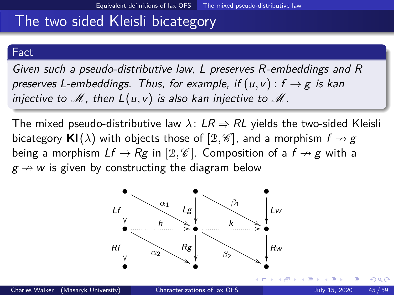### <span id="page-44-0"></span>The two sided Kleisli bicategory

#### Fact

Given such a pseudo-distributive law, L preserves R-embeddings and R preserves L-embeddings. Thus, for example, if  $(u, v)$ :  $f \rightarrow g$  is kan injective to  $\mathscr M$ , then  $L(u,v)$  is also kan injective to  $\mathscr M$ .

The mixed pseudo-distributive law  $\lambda$ :  $LR \Rightarrow RL$  yields the two-sided Kleisli bicategory  $\mathsf{KI}(\lambda)$  with objects those of  $[2,\mathscr{C}]$ , and a morphism  $f \nrightarrow g$ being a morphism  $Lf \to Rg$  in [2,  $\mathscr C$ ]. Composition of a  $f \to g$  with a  $g \nrightarrow w$  is given by constructing the diagram below



つひひ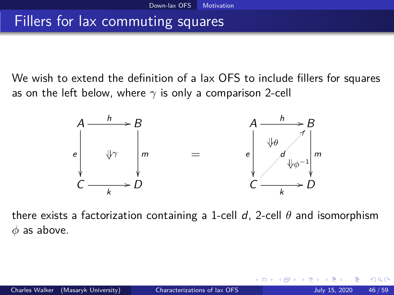### <span id="page-45-0"></span>Fillers for lax commuting squares

We wish to extend the definition of a lax OFS to include fillers for squares as on the left below, where *γ* is only a comparison 2-cell



there exists a factorization containing a 1-cell d, 2-cell *θ* and isomorphism *φ* as above.

つひい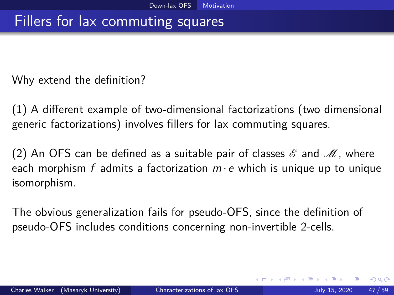### Fillers for lax commuting squares

Why extend the definition?

(1) A different example of two-dimensional factorizations (two dimensional generic factorizations) involves fillers for lax commuting squares.

(2) An OFS can be defined as a suitable pair of classes  $\mathscr E$  and  $\mathscr M$ , where each morphism f admits a factorization  $m \cdot e$  which is unique up to unique isomorphism.

The obvious generalization fails for pseudo-OFS, since the definition of pseudo-OFS includes conditions concerning non-invertible 2-cells.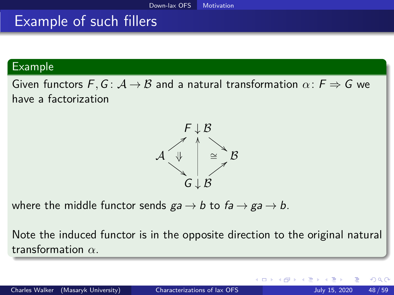### **Example of such fillers**

#### Example

Given functors  $F, G: A \rightarrow B$  and a natural transformation  $\alpha: F \Rightarrow G$  we have a factorization



where the middle functor sends  $ga \rightarrow b$  to  $fa \rightarrow ga \rightarrow b$ .

Note the induced functor is in the opposite direction to the original natural transformation *α*.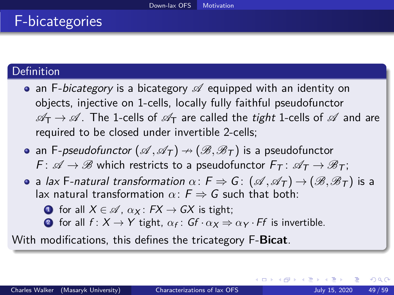# F-bicategories

#### **Definition**

- an F-bicategory is a bicategory  $\mathscr A$  equipped with an identity on objects, injective on 1-cells, locally fully faithful pseudofunctor  $\mathscr{A}_{T} \rightarrow \mathscr{A}$ . The 1-cells of  $\mathscr{A}_{T}$  are called the tight 1-cells of  $\mathscr{A}$  and are required to be closed under invertible 2-cells;
- an F-pseudofunctor  $({\mathscr A},{\mathscr A}_{\tau})\rightarrow ({\mathscr B},{\mathscr B}_{\tau})$  is a pseudofunctor  $F: \mathscr{A} \to \mathscr{B}$  which restricts to a pseudofunctor  $F_T: \mathscr{A}_T \to \mathscr{B}_T$ ;
- **a** lax F-natural transformation  $\alpha$ :  $F \Rightarrow G$ :  $(\mathscr{A}, \mathscr{A}_T) \rightarrow (\mathscr{B}, \mathscr{B}_T)$  is a lax natural transformation  $\alpha \cdot F \Rightarrow G$  such that both:
	- **1** for all  $X \in \mathcal{A}$ ,  $\alpha_X : FX \rightarrow GX$  is tight:
	- **2** for all  $f: X \to Y$  tight,  $\alpha_f: Gf \cdot \alpha_X \Rightarrow \alpha_Y \cdot Ff$  is invertible.

With modifications, this defines the tricategory F-**Bicat**.

 $\Omega$ 

(ロト (個) (ミト (重)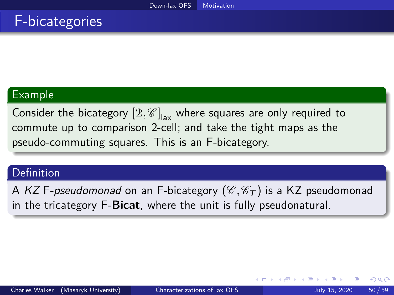### F-bicategories

#### Example

Consider the bicategory  $\left[\mathcal{Z}, \mathscr{C}\right]_{\mathsf{lax}}$  where squares are only required to commute up to comparison 2-cell; and take the tight maps as the pseudo-commuting squares. This is an F-bicategory.

#### Definition

A KZ F-pseudomonad on an F-bicategory ( $\mathscr{C}, \mathscr{C}_T$ ) is a KZ pseudomonad in the tricategory F-**Bicat**, where the unit is fully pseudonatural.

つへへ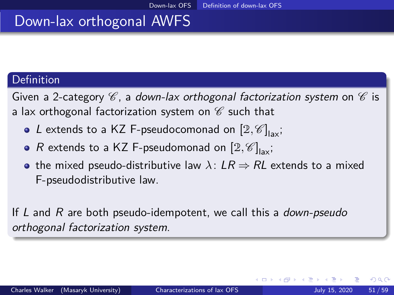### <span id="page-50-0"></span>Down-lax orthogonal AWFS

#### Definition

Given a 2-category  $\mathscr C$ , a down-lax orthogonal factorization system on  $\mathscr C$  is a lax orthogonal factorization system on  $\mathscr C$  such that

- L extends to a KZ F-pseudocomonad on  $[2,\mathscr{C}]_{\mathsf{lax}}$ ;
- $R$  extends to a KZ F-pseudomonad on  $[2, \mathscr{C}]_{\mathsf{lax}}$ ;
- the mixed pseudo-distributive law  $\lambda$ :  $LR \Rightarrow RL$  extends to a mixed F-pseudodistributive law.

If  $L$  and  $R$  are both pseudo-idempotent, we call this a *down-pseudo* orthogonal factorization system.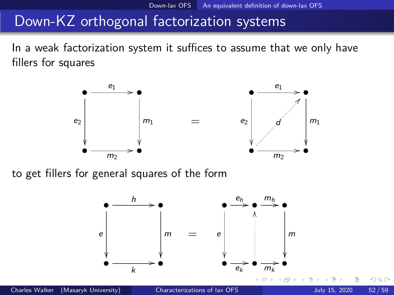<span id="page-51-0"></span>In a weak factorization system it suffices to assume that we only have fillers for squares



to get fillers for general squares of the form

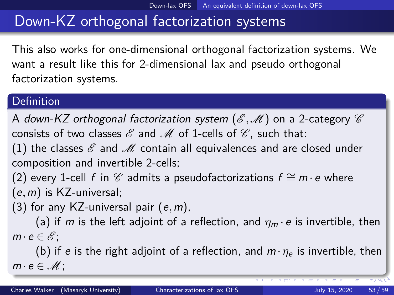This also works for one-dimensional orthogonal factorization systems. We want a result like this for 2-dimensional lax and pseudo orthogonal factorization systems.

#### Definition

A down-KZ orthogonal factorization system  $(\mathscr{E},\mathscr{M})$  on a 2-category  $\mathscr{C}$ consists of two classes  $\mathscr E$  and  $\mathscr M$  of 1-cells of  $\mathscr C$ , such that:

(1) the classes  $\mathscr E$  and  $\mathscr M$  contain all equivalences and are closed under composition and invertible 2-cells;

(2) every 1-cell f in  $\mathscr C$  admits a pseudofactorizations  $f \cong m \cdot e$  where (e*,*m) is KZ-universal;

(3) for any KZ-universal pair (e*,*m),

(a) if m is the left adjoint of a reflection, and  $\eta_m \cdot e$  is invertible, then  $m \cdot e \in \mathscr{E}$ :

(b) if e is the right adjoint of a reflection, and  $m \cdot \eta_e$  is invertible, then  $m \cdot e \in \mathcal{M}$ :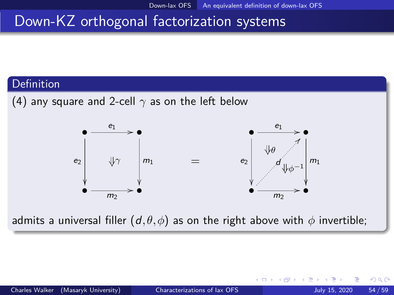#### **Definition**





admits a universal filler  $(d, \theta, \phi)$  as on the right above with  $\phi$  invertible;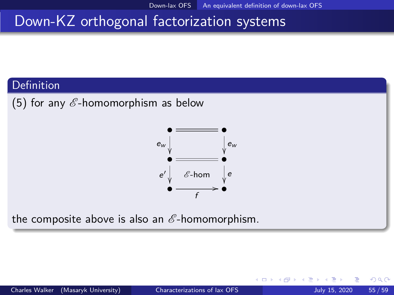#### Definition

(5) for any  $\mathscr E$ -homomorphism as below



the composite above is also an  $\mathscr E$ -homomorphism.

4 0 8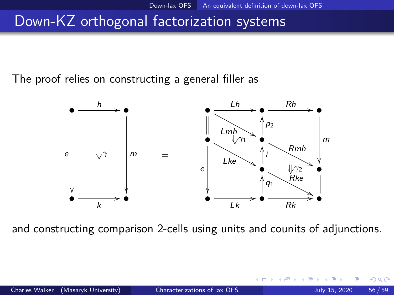The proof relies on constructing a general filler as



and constructing comparison 2-cells using units and counits of adjunctions.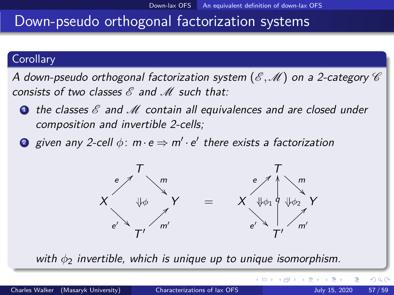#### **Corollary**

A down-pseudo orthogonal factorization system  $(\mathscr{E},\mathscr{M})$  on a 2-category  $\mathscr{C}$ consists of two classes  $\mathscr E$  and  $\mathscr M$  such that:

- **1** the classes  $\mathscr E$  and  $\mathscr M$  contain all equivalences and are closed under composition and invertible 2-cells;
- $\bullet$  given any 2-cell  $\phi\colon m\!\cdot\!{\rm e}$   $\Rightarrow$   $m'\!\cdot\!{\rm e}'$  there exists a factorization



with  $φ_2$  invertible, which is unique up to unique isomorphism.

 $\Omega$ 

メロトメ 倒 トメ ミトメ ミト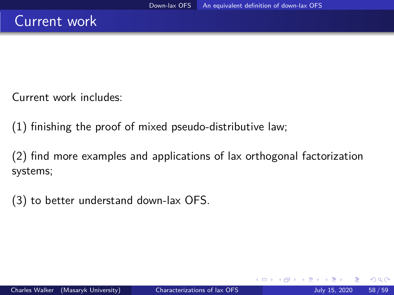Current work includes:

(1) finishing the proof of mixed pseudo-distributive law;

(2) find more examples and applications of lax orthogonal factorization systems;

(3) to better understand down-lax OFS.